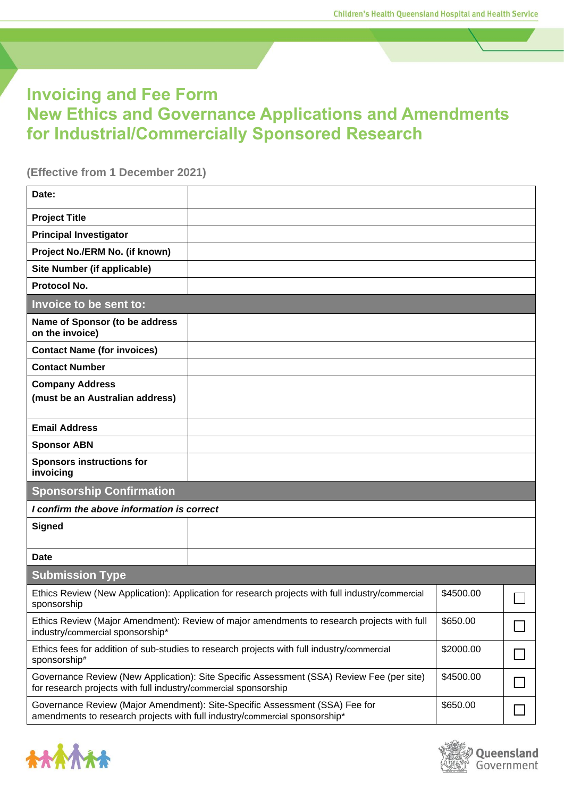## **Invoicing and Fee Form New Ethics and Governance Applications and Amendments for Industrial/Commercially Sponsored Research**

**(Effective from 1 December 2021)**

| Date:                                                           |                                                                                                  |           |  |
|-----------------------------------------------------------------|--------------------------------------------------------------------------------------------------|-----------|--|
| <b>Project Title</b>                                            |                                                                                                  |           |  |
| <b>Principal Investigator</b>                                   |                                                                                                  |           |  |
| Project No./ERM No. (if known)                                  |                                                                                                  |           |  |
| Site Number (if applicable)                                     |                                                                                                  |           |  |
| Protocol No.                                                    |                                                                                                  |           |  |
| Invoice to be sent to:                                          |                                                                                                  |           |  |
| Name of Sponsor (to be address<br>on the invoice)               |                                                                                                  |           |  |
| <b>Contact Name (for invoices)</b>                              |                                                                                                  |           |  |
| <b>Contact Number</b>                                           |                                                                                                  |           |  |
| <b>Company Address</b><br>(must be an Australian address)       |                                                                                                  |           |  |
| <b>Email Address</b>                                            |                                                                                                  |           |  |
| <b>Sponsor ABN</b>                                              |                                                                                                  |           |  |
| <b>Sponsors instructions for</b><br>invoicing                   |                                                                                                  |           |  |
| <b>Sponsorship Confirmation</b>                                 |                                                                                                  |           |  |
| I confirm the above information is correct                      |                                                                                                  |           |  |
| <b>Signed</b>                                                   |                                                                                                  |           |  |
|                                                                 |                                                                                                  |           |  |
| Date                                                            |                                                                                                  |           |  |
| <b>Submission Type</b>                                          |                                                                                                  |           |  |
| sponsorship                                                     | Ethics Review (New Application): Application for research projects with full industry/commercial | \$4500.00 |  |
| industry/commercial sponsorship*                                | Ethics Review (Major Amendment): Review of major amendments to research projects with full       | \$650.00  |  |
| sponsorship#                                                    | Ethics fees for addition of sub-studies to research projects with full industry/commercial       | \$2000.00 |  |
| for research projects with full industry/commercial sponsorship | Governance Review (New Application): Site Specific Assessment (SSA) Review Fee (per site)        | \$4500.00 |  |